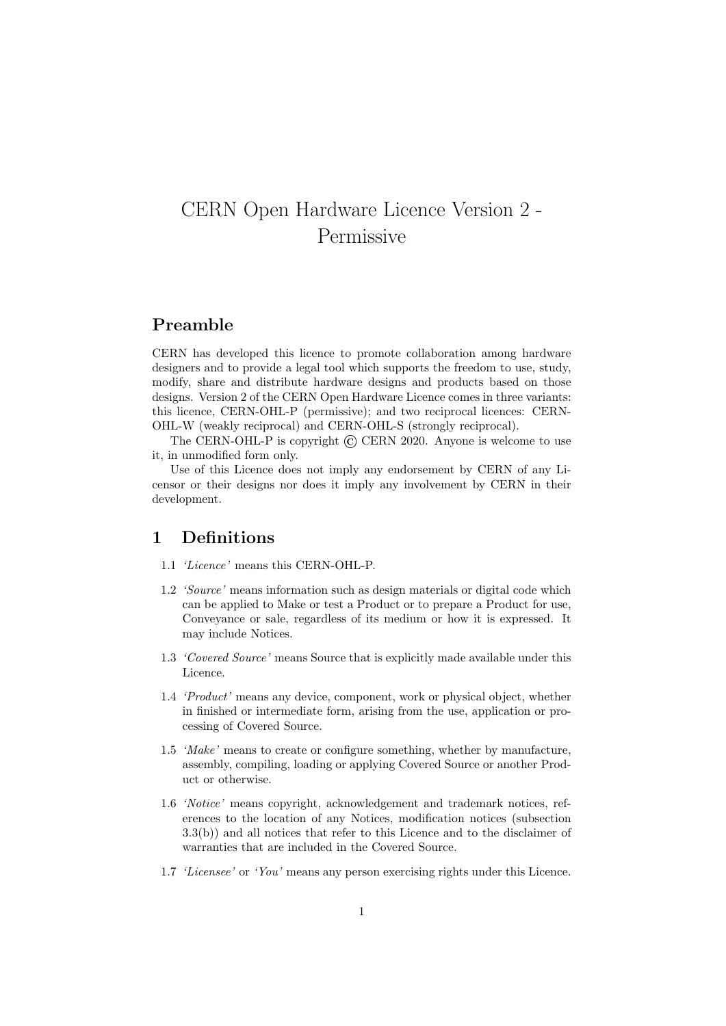# CERN Open Hardware Licence Version 2 - Permissive

#### Preamble

CERN has developed this licence to promote collaboration among hardware designers and to provide a legal tool which supports the freedom to use, study, modify, share and distribute hardware designs and products based on those designs. Version 2 of the CERN Open Hardware Licence comes in three variants: this licence, CERN-OHL-P (permissive); and two reciprocal licences: CERN-OHL-W (weakly reciprocal) and CERN-OHL-S (strongly reciprocal).

The CERN-OHL-P is copyright  $\odot$  CERN 2020. Anyone is welcome to use it, in unmodified form only.

Use of this Licence does not imply any endorsement by CERN of any Licensor or their designs nor does it imply any involvement by CERN in their development.

#### 1 Definitions

- 1.1 'Licence' means this CERN-OHL-P.
- 1.2 'Source' means information such as design materials or digital code which can be applied to Make or test a Product or to prepare a Product for use, Conveyance or sale, regardless of its medium or how it is expressed. It may include Notices.
- 1.3 'Covered Source' means Source that is explicitly made available under this Licence.
- 1.4 'Product' means any device, component, work or physical object, whether in finished or intermediate form, arising from the use, application or processing of Covered Source.
- 1.5 'Make' means to create or configure something, whether by manufacture, assembly, compiling, loading or applying Covered Source or another Product or otherwise.
- 1.6 'Notice' means copyright, acknowledgement and trademark notices, references to the location of any Notices, modification notices (subsection 3.3(b)) and all notices that refer to this Licence and to the disclaimer of warranties that are included in the Covered Source.
- 1.7 'Licensee' or 'You' means any person exercising rights under this Licence.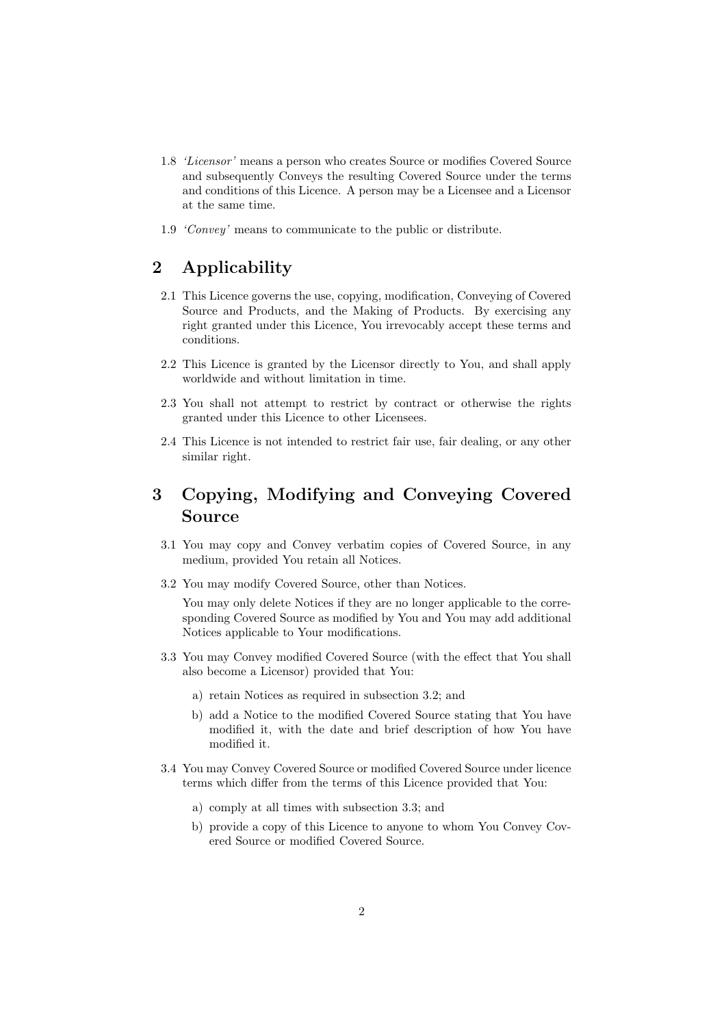- 1.8 'Licensor' means a person who creates Source or modifies Covered Source and subsequently Conveys the resulting Covered Source under the terms and conditions of this Licence. A person may be a Licensee and a Licensor at the same time.
- 1.9 'Convey' means to communicate to the public or distribute.

### 2 Applicability

- 2.1 This Licence governs the use, copying, modification, Conveying of Covered Source and Products, and the Making of Products. By exercising any right granted under this Licence, You irrevocably accept these terms and conditions.
- 2.2 This Licence is granted by the Licensor directly to You, and shall apply worldwide and without limitation in time.
- 2.3 You shall not attempt to restrict by contract or otherwise the rights granted under this Licence to other Licensees.
- 2.4 This Licence is not intended to restrict fair use, fair dealing, or any other similar right.

## 3 Copying, Modifying and Conveying Covered Source

- 3.1 You may copy and Convey verbatim copies of Covered Source, in any medium, provided You retain all Notices.
- 3.2 You may modify Covered Source, other than Notices.

You may only delete Notices if they are no longer applicable to the corresponding Covered Source as modified by You and You may add additional Notices applicable to Your modifications.

- 3.3 You may Convey modified Covered Source (with the effect that You shall also become a Licensor) provided that You:
	- a) retain Notices as required in subsection 3.2; and
	- b) add a Notice to the modified Covered Source stating that You have modified it, with the date and brief description of how You have modified it.
- 3.4 You may Convey Covered Source or modified Covered Source under licence terms which differ from the terms of this Licence provided that You:
	- a) comply at all times with subsection 3.3; and
	- b) provide a copy of this Licence to anyone to whom You Convey Covered Source or modified Covered Source.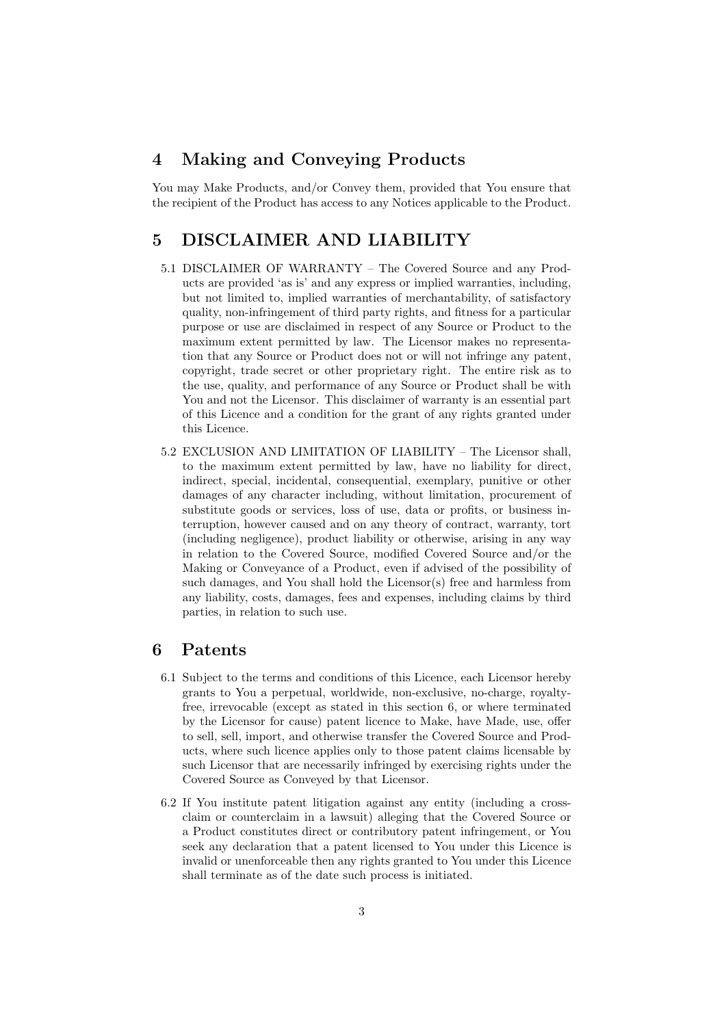### 4 Making and Conveying Products

You may Make Products, and/or Convey them, provided that You ensure that the recipient of the Product has access to any Notices applicable to the Product.

### 5 DISCLAIMER AND LIABILITY

- 5.1 DISCLAIMER OF WARRANTY The Covered Source and any Products are provided 'as is' and any express or implied warranties, including, but not limited to, implied warranties of merchantability, of satisfactory quality, non-infringement of third party rights, and fitness for a particular purpose or use are disclaimed in respect of any Source or Product to the maximum extent permitted by law. The Licensor makes no representation that any Source or Product does not or will not infringe any patent, copyright, trade secret or other proprietary right. The entire risk as to the use, quality, and performance of any Source or Product shall be with You and not the Licensor. This disclaimer of warranty is an essential part of this Licence and a condition for the grant of any rights granted under this Licence.
- 5.2 EXCLUSION AND LIMITATION OF LIABILITY The Licensor shall, to the maximum extent permitted by law, have no liability for direct, indirect, special, incidental, consequential, exemplary, punitive or other damages of any character including, without limitation, procurement of substitute goods or services, loss of use, data or profits, or business interruption, however caused and on any theory of contract, warranty, tort (including negligence), product liability or otherwise, arising in any way in relation to the Covered Source, modified Covered Source and/or the Making or Conveyance of a Product, even if advised of the possibility of such damages, and You shall hold the Licensor(s) free and harmless from any liability, costs, damages, fees and expenses, including claims by third parties, in relation to such use.

#### 6 Patents

- 6.1 Subject to the terms and conditions of this Licence, each Licensor hereby grants to You a perpetual, worldwide, non-exclusive, no-charge, royaltyfree, irrevocable (except as stated in this section 6, or where terminated by the Licensor for cause) patent licence to Make, have Made, use, offer to sell, sell, import, and otherwise transfer the Covered Source and Products, where such licence applies only to those patent claims licensable by such Licensor that are necessarily infringed by exercising rights under the Covered Source as Conveyed by that Licensor.
- 6.2 If You institute patent litigation against any entity (including a crossclaim or counterclaim in a lawsuit) alleging that the Covered Source or a Product constitutes direct or contributory patent infringement, or You seek any declaration that a patent licensed to You under this Licence is invalid or unenforceable then any rights granted to You under this Licence shall terminate as of the date such process is initiated.